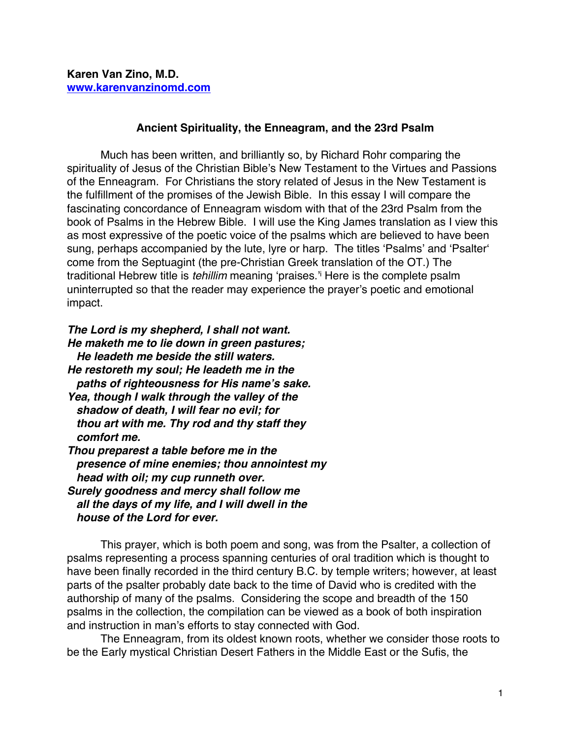## **Ancient Spirituality, the Enneagram, and the 23rd Psalm**

Much has been written, and brilliantly so, by Richard Rohr comparing the spirituality of Jesus of the Christian Bible's New Testament to the Virtues and Passions of the Enneagram. For Christians the story related of Jesus in the New Testament is the fulfillment of the promises of the Jewish Bible. In this essay I will compare the fascinating concordance of Enneagram wisdom with that of the 23rd Psalm from the book of Psalms in the Hebrew Bible. I will use the King James translation as I view this as most expressive of the poetic voice of the psalms which are believed to have been sung, perhaps accompanied by the lute, lyre or harp. The titles 'Psalms' and 'Psalter' come from the Septuagint (the pre-Christian Greek translation of the OT.) The traditional Hebrew title is *tehillim* meaning 'praises.'i Here is the complete psalm uninterrupted so that the reader may experience the prayer's poetic and emotional impact.

*The Lord is my shepherd, I shall not want. He maketh me to lie down in green pastures; He leadeth me beside the still waters. He restoreth my soul; He leadeth me in the paths of righteousness for His name's sake. Yea, though I walk through the valley of the shadow of death, I will fear no evil; for thou art with me. Thy rod and thy staff they comfort me. Thou preparest a table before me in the presence of mine enemies; thou annointest my head with oil; my cup runneth over. Surely goodness and mercy shall follow me all the days of my life, and I will dwell in the house of the Lord for ever.*

This prayer, which is both poem and song, was from the Psalter, a collection of psalms representing a process spanning centuries of oral tradition which is thought to have been finally recorded in the third century B.C. by temple writers; however, at least parts of the psalter probably date back to the time of David who is credited with the authorship of many of the psalms. Considering the scope and breadth of the 150 psalms in the collection, the compilation can be viewed as a book of both inspiration and instruction in man's efforts to stay connected with God.

The Enneagram, from its oldest known roots, whether we consider those roots to be the Early mystical Christian Desert Fathers in the Middle East or the Sufis, the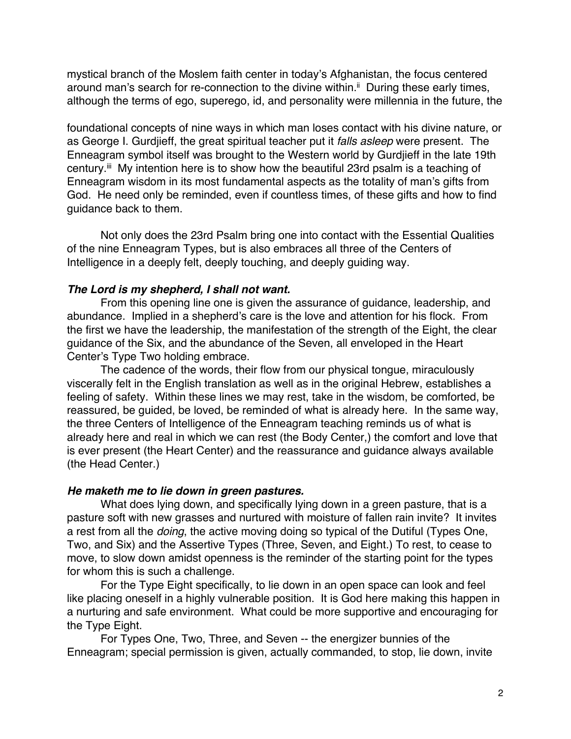mystical branch of the Moslem faith center in today's Afghanistan, the focus centered around man's search for re-connection to the divine within.<sup>ii</sup> During these early times, although the terms of ego, superego, id, and personality were millennia in the future, the

foundational concepts of nine ways in which man loses contact with his divine nature, or as George I. Gurdjieff, the great spiritual teacher put it *falls asleep* were present. The Enneagram symbol itself was brought to the Western world by Gurdjieff in the late 19th century.<sup>iii</sup> My intention here is to show how the beautiful 23rd psalm is a teaching of Enneagram wisdom in its most fundamental aspects as the totality of man's gifts from God. He need only be reminded, even if countless times, of these gifts and how to find guidance back to them.

Not only does the 23rd Psalm bring one into contact with the Essential Qualities of the nine Enneagram Types, but is also embraces all three of the Centers of Intelligence in a deeply felt, deeply touching, and deeply guiding way.

# *The Lord is my shepherd, I shall not want.*

From this opening line one is given the assurance of guidance, leadership, and abundance. Implied in a shepherd's care is the love and attention for his flock. From the first we have the leadership, the manifestation of the strength of the Eight, the clear guidance of the Six, and the abundance of the Seven, all enveloped in the Heart Center's Type Two holding embrace.

The cadence of the words, their flow from our physical tongue, miraculously viscerally felt in the English translation as well as in the original Hebrew, establishes a feeling of safety. Within these lines we may rest, take in the wisdom, be comforted, be reassured, be guided, be loved, be reminded of what is already here. In the same way, the three Centers of Intelligence of the Enneagram teaching reminds us of what is already here and real in which we can rest (the Body Center,) the comfort and love that is ever present (the Heart Center) and the reassurance and guidance always available (the Head Center.)

# *He maketh me to lie down in green pastures.*

What does lying down, and specifically lying down in a green pasture, that is a pasture soft with new grasses and nurtured with moisture of fallen rain invite? It invites a rest from all the *doing*, the active moving doing so typical of the Dutiful (Types One, Two, and Six) and the Assertive Types (Three, Seven, and Eight.) To rest, to cease to move, to slow down amidst openness is the reminder of the starting point for the types for whom this is such a challenge.

For the Type Eight specifically, to lie down in an open space can look and feel like placing oneself in a highly vulnerable position. It is God here making this happen in a nurturing and safe environment. What could be more supportive and encouraging for the Type Eight.

For Types One, Two, Three, and Seven -- the energizer bunnies of the Enneagram; special permission is given, actually commanded, to stop, lie down, invite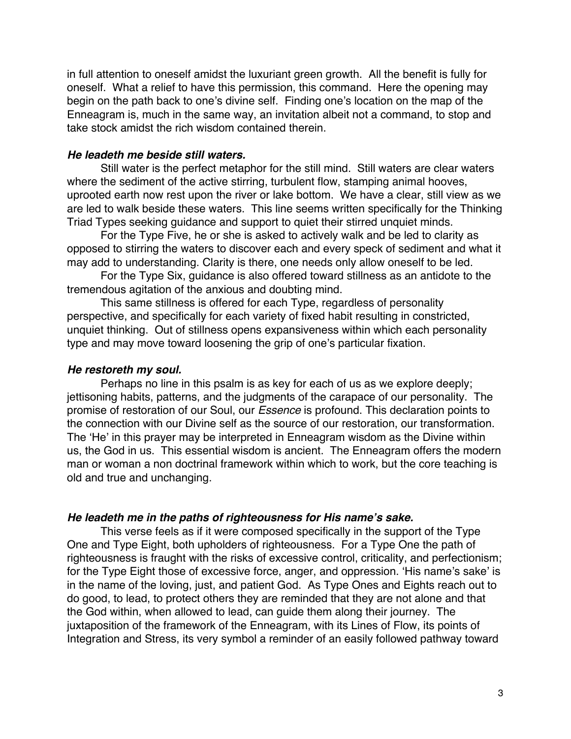in full attention to oneself amidst the luxuriant green growth. All the benefit is fully for oneself. What a relief to have this permission, this command. Here the opening may begin on the path back to one's divine self. Finding one's location on the map of the Enneagram is, much in the same way, an invitation albeit not a command, to stop and take stock amidst the rich wisdom contained therein.

#### *He leadeth me beside still waters.*

Still water is the perfect metaphor for the still mind. Still waters are clear waters where the sediment of the active stirring, turbulent flow, stamping animal hooves, uprooted earth now rest upon the river or lake bottom. We have a clear, still view as we are led to walk beside these waters. This line seems written specifically for the Thinking Triad Types seeking guidance and support to quiet their stirred unquiet minds.

For the Type Five, he or she is asked to actively walk and be led to clarity as opposed to stirring the waters to discover each and every speck of sediment and what it may add to understanding. Clarity is there, one needs only allow oneself to be led.

For the Type Six, guidance is also offered toward stillness as an antidote to the tremendous agitation of the anxious and doubting mind.

This same stillness is offered for each Type, regardless of personality perspective, and specifically for each variety of fixed habit resulting in constricted, unquiet thinking. Out of stillness opens expansiveness within which each personality type and may move toward loosening the grip of one's particular fixation.

#### *He restoreth my soul.*

Perhaps no line in this psalm is as key for each of us as we explore deeply; jettisoning habits, patterns, and the judgments of the carapace of our personality. The promise of restoration of our Soul, our *Essence* is profound. This declaration points to the connection with our Divine self as the source of our restoration, our transformation. The 'He' in this prayer may be interpreted in Enneagram wisdom as the Divine within us, the God in us. This essential wisdom is ancient. The Enneagram offers the modern man or woman a non doctrinal framework within which to work, but the core teaching is old and true and unchanging.

#### *He leadeth me in the paths of righteousness for His name's sake.*

This verse feels as if it were composed specifically in the support of the Type One and Type Eight, both upholders of righteousness. For a Type One the path of righteousness is fraught with the risks of excessive control, criticality, and perfectionism; for the Type Eight those of excessive force, anger, and oppression. 'His name's sake' is in the name of the loving, just, and patient God. As Type Ones and Eights reach out to do good, to lead, to protect others they are reminded that they are not alone and that the God within, when allowed to lead, can guide them along their journey. The juxtaposition of the framework of the Enneagram, with its Lines of Flow, its points of Integration and Stress, its very symbol a reminder of an easily followed pathway toward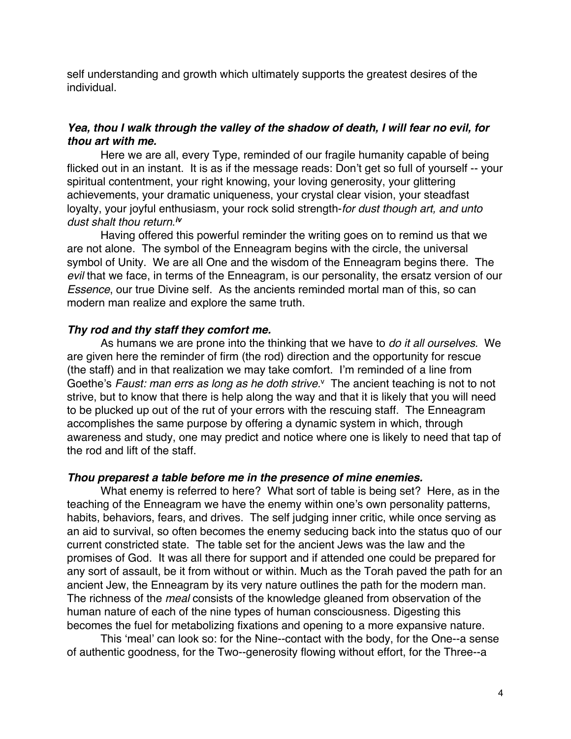self understanding and growth which ultimately supports the greatest desires of the individual.

# *Yea, thou I walk through the valley of the shadow of death, I will fear no evil, for thou art with me.*

Here we are all, every Type, reminded of our fragile humanity capable of being flicked out in an instant. It is as if the message reads: Don't get so full of yourself -- your spiritual contentment, your right knowing, your loving generosity, your glittering achievements, your dramatic uniqueness, your crystal clear vision, your steadfast loyalty, your joyful enthusiasm, your rock solid strength-*for dust though art, and unto dust shalt thou return*. *iv*

Having offered this powerful reminder the writing goes on to remind us that we are not alone. The symbol of the Enneagram begins with the circle, the universal symbol of Unity. We are all One and the wisdom of the Enneagram begins there. The *evil* that we face, in terms of the Enneagram, is our personality, the ersatz version of our *Essence*, our true Divine self. As the ancients reminded mortal man of this, so can modern man realize and explore the same truth.

### *Thy rod and thy staff they comfort me.*

As humans we are prone into the thinking that we have to *do it all ourselves.* We are given here the reminder of firm (the rod) direction and the opportunity for rescue (the staff) and in that realization we may take comfort. I'm reminded of a line from Goethe's *Faust: man errs as long as he doth strive.*<sup>v</sup>The ancient teaching is not to not strive, but to know that there is help along the way and that it is likely that you will need to be plucked up out of the rut of your errors with the rescuing staff. The Enneagram accomplishes the same purpose by offering a dynamic system in which, through awareness and study, one may predict and notice where one is likely to need that tap of the rod and lift of the staff.

### *Thou preparest a table before me in the presence of mine enemies.*

What enemy is referred to here? What sort of table is being set? Here, as in the teaching of the Enneagram we have the enemy within one's own personality patterns, habits, behaviors, fears, and drives. The self judging inner critic, while once serving as an aid to survival, so often becomes the enemy seducing back into the status quo of our current constricted state. The table set for the ancient Jews was the law and the promises of God. It was all there for support and if attended one could be prepared for any sort of assault, be it from without or within. Much as the Torah paved the path for an ancient Jew, the Enneagram by its very nature outlines the path for the modern man. The richness of the *meal* consists of the knowledge gleaned from observation of the human nature of each of the nine types of human consciousness. Digesting this becomes the fuel for metabolizing fixations and opening to a more expansive nature.

This 'meal' can look so: for the Nine--contact with the body, for the One--a sense of authentic goodness, for the Two--generosity flowing without effort, for the Three--a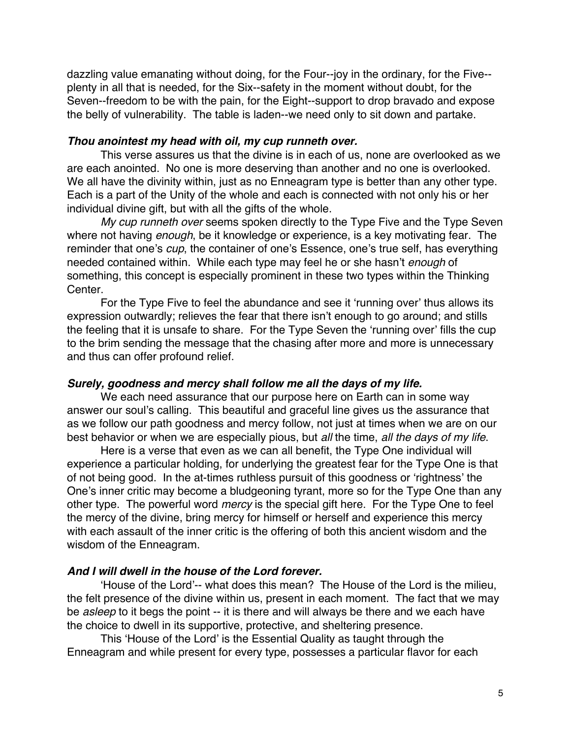dazzling value emanating without doing, for the Four--joy in the ordinary, for the Five- plenty in all that is needed, for the Six--safety in the moment without doubt, for the Seven--freedom to be with the pain, for the Eight--support to drop bravado and expose the belly of vulnerability. The table is laden--we need only to sit down and partake.

### *Thou anointest my head with oil, my cup runneth over.*

This verse assures us that the divine is in each of us, none are overlooked as we are each anointed. No one is more deserving than another and no one is overlooked. We all have the divinity within, just as no Enneagram type is better than any other type. Each is a part of the Unity of the whole and each is connected with not only his or her individual divine gift, but with all the gifts of the whole.

*My cup runneth over* seems spoken directly to the Type Five and the Type Seven where not having *enough*, be it knowledge or experience, is a key motivating fear. The reminder that one's *cup*, the container of one's Essence, one's true self, has everything needed contained within. While each type may feel he or she hasn't *enough* of something, this concept is especially prominent in these two types within the Thinking Center.

For the Type Five to feel the abundance and see it 'running over' thus allows its expression outwardly; relieves the fear that there isn't enough to go around; and stills the feeling that it is unsafe to share. For the Type Seven the 'running over' fills the cup to the brim sending the message that the chasing after more and more is unnecessary and thus can offer profound relief.

### *Surely, goodness and mercy shall follow me all the days of my life.*

We each need assurance that our purpose here on Earth can in some way answer our soul's calling. This beautiful and graceful line gives us the assurance that as we follow our path goodness and mercy follow, not just at times when we are on our best behavior or when we are especially pious, but *all* the time, *all the days of my life*.

Here is a verse that even as we can all benefit, the Type One individual will experience a particular holding, for underlying the greatest fear for the Type One is that of not being good. In the at-times ruthless pursuit of this goodness or 'rightness' the One's inner critic may become a bludgeoning tyrant, more so for the Type One than any other type. The powerful word *mercy* is the special gift here. For the Type One to feel the mercy of the divine, bring mercy for himself or herself and experience this mercy with each assault of the inner critic is the offering of both this ancient wisdom and the wisdom of the Enneagram.

# *And I will dwell in the house of the Lord forever.*

'House of the Lord'-- what does this mean? The House of the Lord is the milieu, the felt presence of the divine within us, present in each moment. The fact that we may be *asleep* to it begs the point -- it is there and will always be there and we each have the choice to dwell in its supportive, protective, and sheltering presence.

This 'House of the Lord' is the Essential Quality as taught through the Enneagram and while present for every type, possesses a particular flavor for each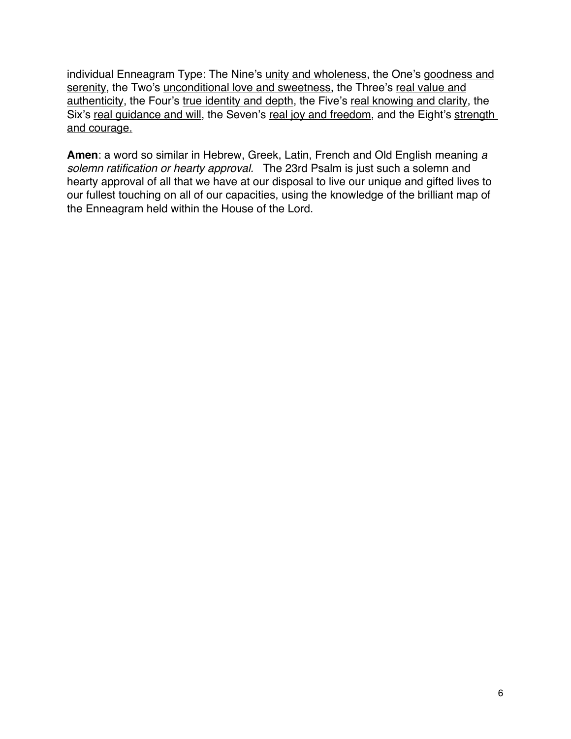individual Enneagram Type: The Nine's unity and wholeness, the One's goodness and serenity, the Two's unconditional love and sweetness, the Three's real value and authenticity, the Four's true identity and depth, the Five's real knowing and clarity, the Six's real quidance and will, the Seven's real joy and freedom, and the Eight's strength and courage.

**Amen**: a word so similar in Hebrew, Greek, Latin, French and Old English meaning *a solemn ratification or hearty approval.* The 23rd Psalm is just such a solemn and hearty approval of all that we have at our disposal to live our unique and gifted lives to our fullest touching on all of our capacities, using the knowledge of the brilliant map of the Enneagram held within the House of the Lord.